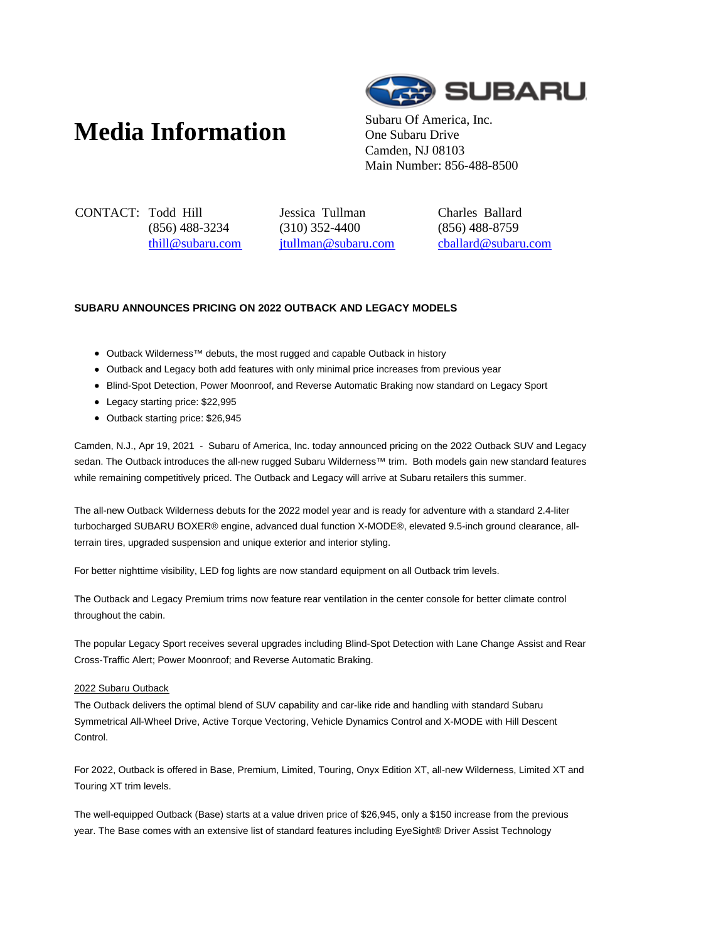# **Media Information** Subaru Of America, Inc.



One Subaru Drive Camden, NJ 08103 Main Number: 856-488-8500

CONTACT: Todd Hill (856) 488-3234 thill@subaru.com Jessica Tullman (310) 352-4400 jtullman@subaru.com Charles Ballard (856) 488-8759 cballard@subaru.com

## **SUBARU ANNOUNCES PRICING ON 2022 OUTBACK AND LEGACY MODELS**

- Outback Wilderness™ debuts, the most rugged and capable Outback in history
- Outback and Legacy both add features with only minimal price increases from previous year
- Blind-Spot Detection, Power Moonroof, and Reverse Automatic Braking now standard on Legacy Sport
- Legacy starting price: \$22,995
- Outback starting price: \$26,945

Camden, N.J., Apr 19, 2021 - Subaru of America, Inc. today announced pricing on the 2022 Outback SUV and Legacy sedan. The Outback introduces the all-new rugged Subaru Wilderness™ trim. Both models gain new standard features while remaining competitively priced. The Outback and Legacy will arrive at Subaru retailers this summer.

The all-new Outback Wilderness debuts for the 2022 model year and is ready for adventure with a standard 2.4-liter turbocharged SUBARU BOXER® engine, advanced dual function X-MODE®, elevated 9.5-inch ground clearance, allterrain tires, upgraded suspension and unique exterior and interior styling.

For better nighttime visibility, LED fog lights are now standard equipment on all Outback trim levels.

The Outback and Legacy Premium trims now feature rear ventilation in the center console for better climate control throughout the cabin.

The popular Legacy Sport receives several upgrades including Blind-Spot Detection with Lane Change Assist and Rear Cross-Traffic Alert; Power Moonroof; and Reverse Automatic Braking.

#### 2022 Subaru Outback

The Outback delivers the optimal blend of SUV capability and car-like ride and handling with standard Subaru Symmetrical All-Wheel Drive, Active Torque Vectoring, Vehicle Dynamics Control and X-MODE with Hill Descent Control.

For 2022, Outback is offered in Base, Premium, Limited, Touring, Onyx Edition XT, all-new Wilderness, Limited XT and Touring XT trim levels.

The well-equipped Outback (Base) starts at a value driven price of \$26,945, only a \$150 increase from the previous year. The Base comes with an extensive list of standard features including EyeSight® Driver Assist Technology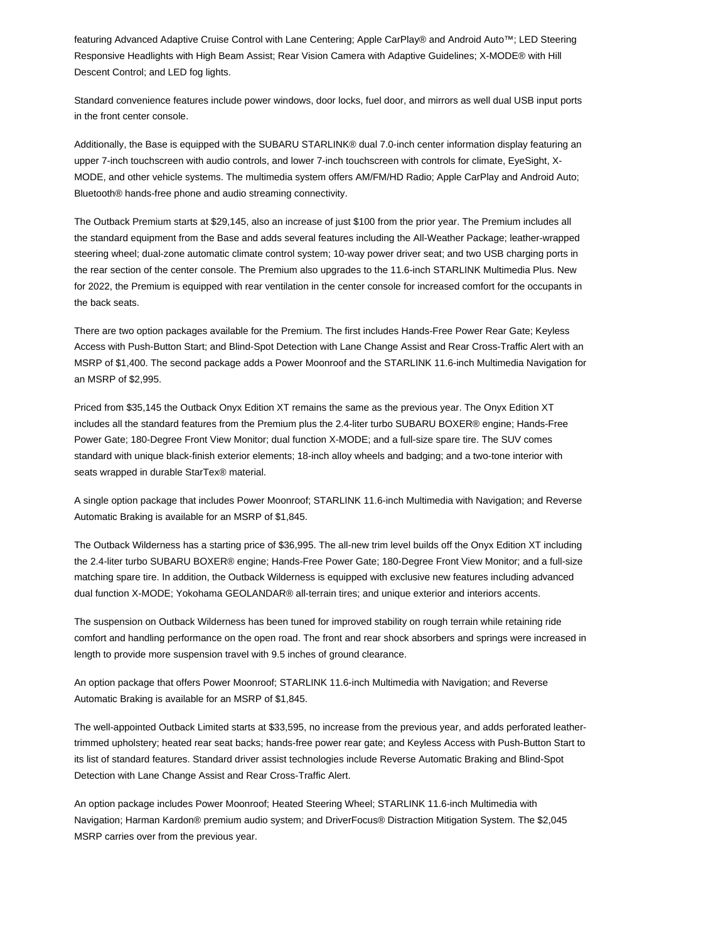featuring Advanced Adaptive Cruise Control with Lane Centering; Apple CarPlay® and Android Auto™; LED Steering Responsive Headlights with High Beam Assist; Rear Vision Camera with Adaptive Guidelines; X-MODE® with Hill Descent Control; and LED fog lights.

Standard convenience features include power windows, door locks, fuel door, and mirrors as well dual USB input ports in the front center console.

Additionally, the Base is equipped with the SUBARU STARLINK® dual 7.0-inch center information display featuring an upper 7-inch touchscreen with audio controls, and lower 7-inch touchscreen with controls for climate, EyeSight, X-MODE, and other vehicle systems. The multimedia system offers AM/FM/HD Radio; Apple CarPlay and Android Auto; Bluetooth® hands-free phone and audio streaming connectivity.

The Outback Premium starts at \$29,145, also an increase of just \$100 from the prior year. The Premium includes all the standard equipment from the Base and adds several features including the All-Weather Package; leather-wrapped steering wheel; dual-zone automatic climate control system; 10-way power driver seat; and two USB charging ports in the rear section of the center console. The Premium also upgrades to the 11.6-inch STARLINK Multimedia Plus. New for 2022, the Premium is equipped with rear ventilation in the center console for increased comfort for the occupants in the back seats.

There are two option packages available for the Premium. The first includes Hands-Free Power Rear Gate; Keyless Access with Push-Button Start; and Blind-Spot Detection with Lane Change Assist and Rear Cross-Traffic Alert with an MSRP of \$1,400. The second package adds a Power Moonroof and the STARLINK 11.6-inch Multimedia Navigation for an MSRP of \$2,995.

Priced from \$35,145 the Outback Onyx Edition XT remains the same as the previous year. The Onyx Edition XT includes all the standard features from the Premium plus the 2.4-liter turbo SUBARU BOXER® engine; Hands-Free Power Gate; 180-Degree Front View Monitor; dual function X-MODE; and a full-size spare tire. The SUV comes standard with unique black-finish exterior elements; 18-inch alloy wheels and badging; and a two-tone interior with seats wrapped in durable StarTex® material.

A single option package that includes Power Moonroof; STARLINK 11.6-inch Multimedia with Navigation; and Reverse Automatic Braking is available for an MSRP of \$1,845.

The Outback Wilderness has a starting price of \$36,995. The all-new trim level builds off the Onyx Edition XT including the 2.4-liter turbo SUBARU BOXER® engine; Hands-Free Power Gate; 180-Degree Front View Monitor; and a full-size matching spare tire. In addition, the Outback Wilderness is equipped with exclusive new features including advanced dual function X-MODE; Yokohama GEOLANDAR® all-terrain tires; and unique exterior and interiors accents.

The suspension on Outback Wilderness has been tuned for improved stability on rough terrain while retaining ride comfort and handling performance on the open road. The front and rear shock absorbers and springs were increased in length to provide more suspension travel with 9.5 inches of ground clearance.

An option package that offers Power Moonroof; STARLINK 11.6-inch Multimedia with Navigation; and Reverse Automatic Braking is available for an MSRP of \$1,845.

The well-appointed Outback Limited starts at \$33,595, no increase from the previous year, and adds perforated leathertrimmed upholstery; heated rear seat backs; hands-free power rear gate; and Keyless Access with Push-Button Start to its list of standard features. Standard driver assist technologies include Reverse Automatic Braking and Blind-Spot Detection with Lane Change Assist and Rear Cross-Traffic Alert.

An option package includes Power Moonroof; Heated Steering Wheel; STARLINK 11.6-inch Multimedia with Navigation; Harman Kardon® premium audio system; and DriverFocus® Distraction Mitigation System. The \$2,045 MSRP carries over from the previous year.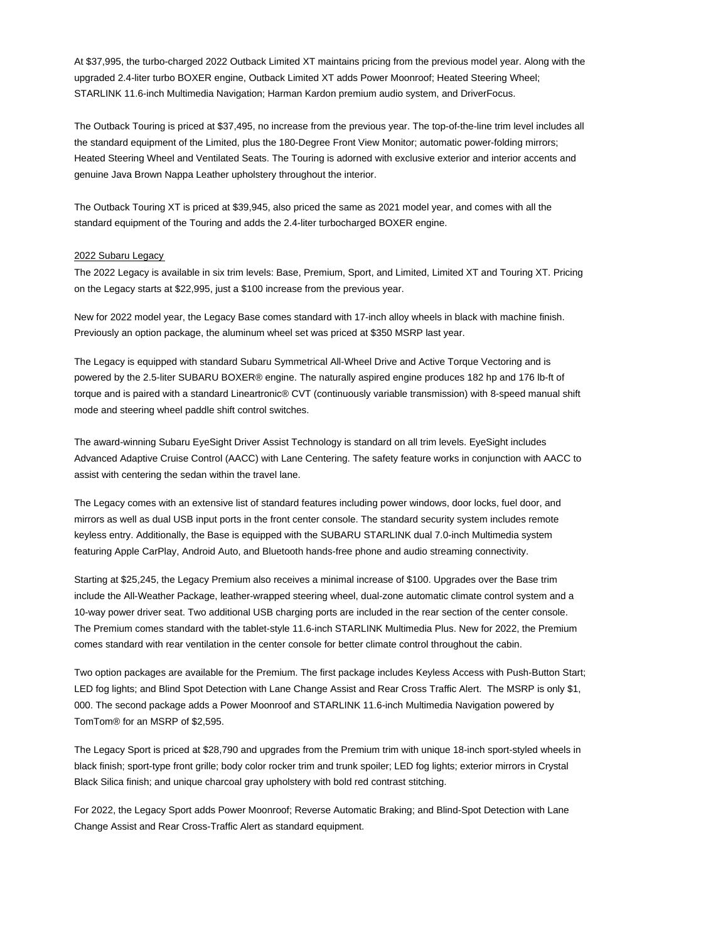At \$37,995, the turbo-charged 2022 Outback Limited XT maintains pricing from the previous model year. Along with the upgraded 2.4-liter turbo BOXER engine, Outback Limited XT adds Power Moonroof; Heated Steering Wheel; STARLINK 11.6-inch Multimedia Navigation; Harman Kardon premium audio system, and DriverFocus.

The Outback Touring is priced at \$37,495, no increase from the previous year. The top-of-the-line trim level includes all the standard equipment of the Limited, plus the 180-Degree Front View Monitor; automatic power-folding mirrors; Heated Steering Wheel and Ventilated Seats. The Touring is adorned with exclusive exterior and interior accents and genuine Java Brown Nappa Leather upholstery throughout the interior.

The Outback Touring XT is priced at \$39,945, also priced the same as 2021 model year, and comes with all the standard equipment of the Touring and adds the 2.4-liter turbocharged BOXER engine.

#### 2022 Subaru Legacy

The 2022 Legacy is available in six trim levels: Base, Premium, Sport, and Limited, Limited XT and Touring XT. Pricing on the Legacy starts at \$22,995, just a \$100 increase from the previous year.

New for 2022 model year, the Legacy Base comes standard with 17-inch alloy wheels in black with machine finish. Previously an option package, the aluminum wheel set was priced at \$350 MSRP last year.

The Legacy is equipped with standard Subaru Symmetrical All-Wheel Drive and Active Torque Vectoring and is powered by the 2.5-liter SUBARU BOXER® engine. The naturally aspired engine produces 182 hp and 176 lb-ft of torque and is paired with a standard Lineartronic® CVT (continuously variable transmission) with 8-speed manual shift mode and steering wheel paddle shift control switches.

The award-winning Subaru EyeSight Driver Assist Technology is standard on all trim levels. EyeSight includes Advanced Adaptive Cruise Control (AACC) with Lane Centering. The safety feature works in conjunction with AACC to assist with centering the sedan within the travel lane.

The Legacy comes with an extensive list of standard features including power windows, door locks, fuel door, and mirrors as well as dual USB input ports in the front center console. The standard security system includes remote keyless entry. Additionally, the Base is equipped with the SUBARU STARLINK dual 7.0-inch Multimedia system featuring Apple CarPlay, Android Auto, and Bluetooth hands-free phone and audio streaming connectivity.

Starting at \$25,245, the Legacy Premium also receives a minimal increase of \$100. Upgrades over the Base trim include the All-Weather Package, leather-wrapped steering wheel, dual-zone automatic climate control system and a 10-way power driver seat. Two additional USB charging ports are included in the rear section of the center console. The Premium comes standard with the tablet-style 11.6-inch STARLINK Multimedia Plus. New for 2022, the Premium comes standard with rear ventilation in the center console for better climate control throughout the cabin.

Two option packages are available for the Premium. The first package includes Keyless Access with Push-Button Start; LED fog lights; and Blind Spot Detection with Lane Change Assist and Rear Cross Traffic Alert. The MSRP is only \$1, 000. The second package adds a Power Moonroof and STARLINK 11.6-inch Multimedia Navigation powered by TomTom® for an MSRP of \$2,595.

The Legacy Sport is priced at \$28,790 and upgrades from the Premium trim with unique 18-inch sport-styled wheels in black finish; sport-type front grille; body color rocker trim and trunk spoiler; LED fog lights; exterior mirrors in Crystal Black Silica finish; and unique charcoal gray upholstery with bold red contrast stitching.

For 2022, the Legacy Sport adds Power Moonroof; Reverse Automatic Braking; and Blind-Spot Detection with Lane Change Assist and Rear Cross-Traffic Alert as standard equipment.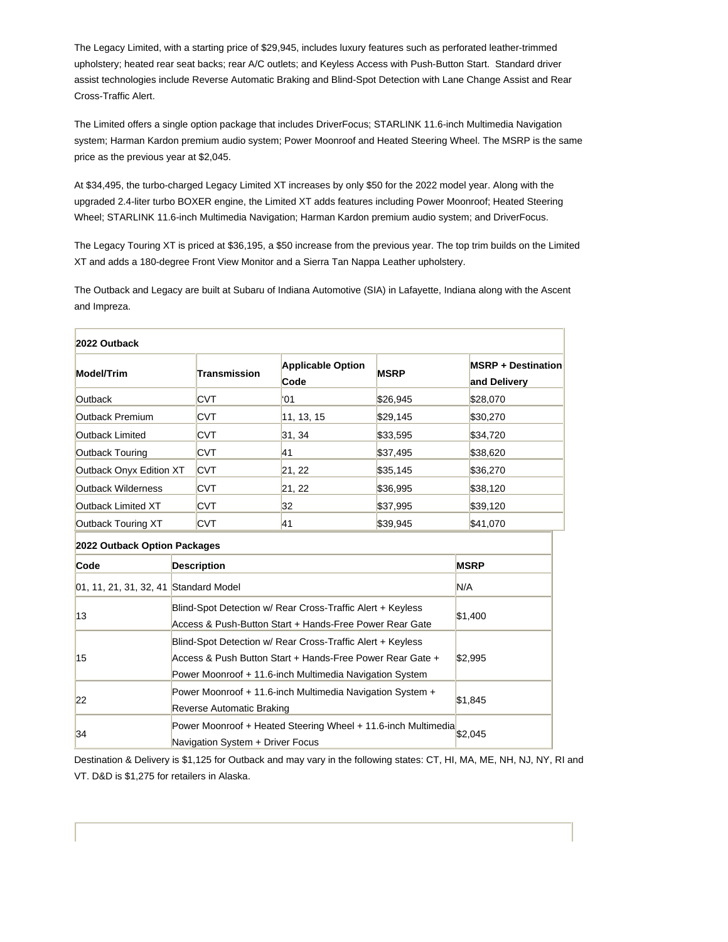The Legacy Limited, with a starting price of \$29,945, includes luxury features such as perforated leather-trimmed upholstery; heated rear seat backs; rear A/C outlets; and Keyless Access with Push-Button Start. Standard driver assist technologies include Reverse Automatic Braking and Blind-Spot Detection with Lane Change Assist and Rear Cross-Traffic Alert.

The Limited offers a single option package that includes DriverFocus; STARLINK 11.6-inch Multimedia Navigation system; Harman Kardon premium audio system; Power Moonroof and Heated Steering Wheel. The MSRP is the same price as the previous year at \$2,045.

At \$34,495, the turbo-charged Legacy Limited XT increases by only \$50 for the 2022 model year. Along with the upgraded 2.4-liter turbo BOXER engine, the Limited XT adds features including Power Moonroof; Heated Steering Wheel; STARLINK 11.6-inch Multimedia Navigation; Harman Kardon premium audio system; and DriverFocus.

The Legacy Touring XT is priced at \$36,195, a \$50 increase from the previous year. The top trim builds on the Limited XT and adds a 180-degree Front View Monitor and a Sierra Tan Nappa Leather upholstery.

The Outback and Legacy are built at Subaru of Indiana Automotive (SIA) in Lafayette, Indiana along with the Ascent and Impreza.

| 2022 Outback                          |                                                                                                                       |                                                                                                                                                                                    |                                  |             |     |                                           |  |
|---------------------------------------|-----------------------------------------------------------------------------------------------------------------------|------------------------------------------------------------------------------------------------------------------------------------------------------------------------------------|----------------------------------|-------------|-----|-------------------------------------------|--|
| <b>Model/Trim</b>                     |                                                                                                                       | <b>Transmission</b>                                                                                                                                                                | <b>Applicable Option</b><br>Code | <b>MSRP</b> |     | <b>MSRP + Destination</b><br>and Delivery |  |
| <b>Outback</b>                        |                                                                                                                       | <b>CVT</b>                                                                                                                                                                         | $^{\circ}$ 01                    | \$26,945    |     | \$28,070                                  |  |
| Outback Premium                       |                                                                                                                       | <b>CVT</b>                                                                                                                                                                         | 11, 13, 15                       | \$29,145    |     | \$30,270                                  |  |
| Outback Limited                       |                                                                                                                       | <b>CVT</b>                                                                                                                                                                         | 31, 34                           | \$33,595    |     | \$34,720                                  |  |
| Outback Touring                       |                                                                                                                       | <b>CVT</b>                                                                                                                                                                         | 41                               | \$37,495    |     | \$38,620                                  |  |
| Outback Onyx Edition XT               |                                                                                                                       | <b>CVT</b>                                                                                                                                                                         | 21, 22                           | \$35,145    |     | \$36,270                                  |  |
| Outback Wilderness                    |                                                                                                                       | <b>CVT</b>                                                                                                                                                                         | 21, 22                           | \$36,995    |     | \$38,120                                  |  |
| Outback Limited XT                    |                                                                                                                       | <b>CVT</b>                                                                                                                                                                         | 32                               | \$37,995    |     | \$39,120                                  |  |
| Outback Touring XT                    |                                                                                                                       | <b>CVT</b>                                                                                                                                                                         | 41                               | \$39,945    |     | \$41,070                                  |  |
| 2022 Outback Option Packages          |                                                                                                                       |                                                                                                                                                                                    |                                  |             |     |                                           |  |
| Code                                  |                                                                                                                       | <b>Description</b>                                                                                                                                                                 |                                  | <b>MSRP</b> |     |                                           |  |
| 01, 11, 21, 31, 32, 41 Standard Model |                                                                                                                       |                                                                                                                                                                                    |                                  |             | N/A |                                           |  |
| 13                                    | Blind-Spot Detection w/ Rear Cross-Traffic Alert + Keyless<br>Access & Push-Button Start + Hands-Free Power Rear Gate |                                                                                                                                                                                    |                                  |             |     | \$1,400                                   |  |
| 15                                    |                                                                                                                       | Blind-Spot Detection w/ Rear Cross-Traffic Alert + Keyless<br>Access & Push Button Start + Hands-Free Power Rear Gate +<br>Power Moonroof + 11.6-inch Multimedia Navigation System |                                  | \$2,995     |     |                                           |  |
| 22                                    | Power Moonroof + 11.6-inch Multimedia Navigation System +                                                             |                                                                                                                                                                                    |                                  |             |     | \$1,845                                   |  |

Destination & Delivery is \$1,125 for Outback and may vary in the following states: CT, HI, MA, ME, NH, NJ, NY, RI and VT. D&D is \$1,275 for retailers in Alaska.

Power Moonroof + Heated Steering Wheel + 11.6-inch Multimedia \$2,045

Reverse Automatic Braking

Navigation System + Driver Focus

34